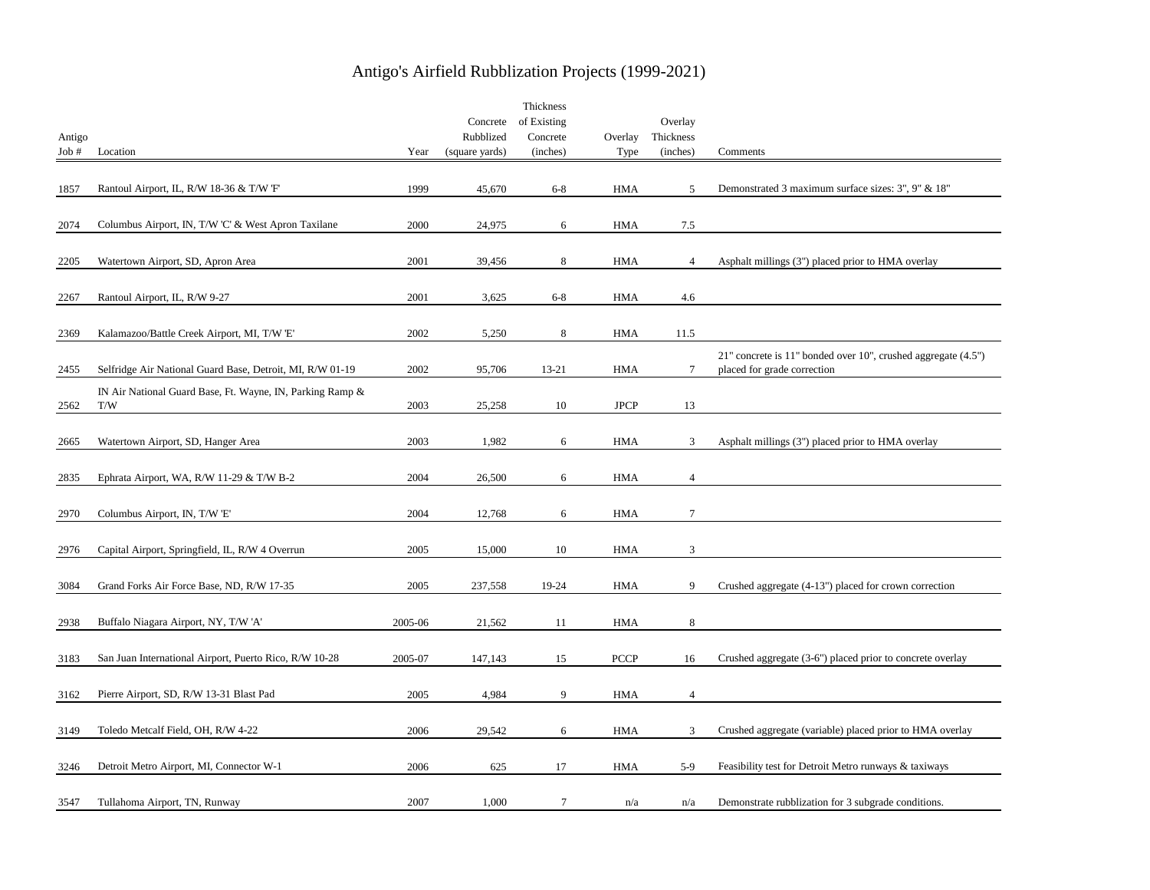| Antigo<br>Job# | Location                                                         | Year    | Concrete<br>Rubblized<br>(square yards) | Thickness<br>of Existing<br>Concrete<br>(inches) | Overlay<br>Type | Overlay<br>Thickness<br>(inches) | Comments                                                                                          |
|----------------|------------------------------------------------------------------|---------|-----------------------------------------|--------------------------------------------------|-----------------|----------------------------------|---------------------------------------------------------------------------------------------------|
| 1857           | Rantoul Airport, IL, R/W 18-36 & T/W 'F'                         | 1999    | 45,670                                  | $6-8$                                            | <b>HMA</b>      | 5                                | Demonstrated 3 maximum surface sizes: 3", 9" & 18"                                                |
| 2074           | Columbus Airport, IN, T/W 'C' & West Apron Taxilane              | 2000    | 24,975                                  | 6                                                | HMA             | 7.5                              |                                                                                                   |
| 2205           | Watertown Airport, SD, Apron Area                                | 2001    | 39,456                                  | 8                                                | HMA             | $\overline{4}$                   | Asphalt millings (3") placed prior to HMA overlay                                                 |
| 2267           | Rantoul Airport, IL, R/W 9-27                                    | 2001    | 3,625                                   | $6-8$                                            | <b>HMA</b>      | 4.6                              |                                                                                                   |
| 2369           | Kalamazoo/Battle Creek Airport, MI, T/W 'E'                      | 2002    | 5,250                                   | 8                                                | <b>HMA</b>      | 11.5                             |                                                                                                   |
| 2455           | Selfridge Air National Guard Base, Detroit, MI, R/W 01-19        | 2002    | 95,706                                  | $13 - 21$                                        | <b>HMA</b>      | $\tau$                           | $21$ " concrete is 11" bonded over 10", crushed aggregate $(4.5")$<br>placed for grade correction |
| 2562           | IN Air National Guard Base, Ft. Wayne, IN, Parking Ramp &<br>T/W | 2003    | 25,258                                  | 10                                               | <b>JPCP</b>     | 13                               |                                                                                                   |
| 2665           | Watertown Airport, SD, Hanger Area                               | 2003    | 1,982                                   | 6                                                | <b>HMA</b>      | 3                                | Asphalt millings (3") placed prior to HMA overlay                                                 |
| 2835           | Ephrata Airport, WA, R/W 11-29 & T/W B-2                         | 2004    | 26,500                                  | 6                                                | <b>HMA</b>      | $\overline{4}$                   |                                                                                                   |
| 2970           | Columbus Airport, IN, T/W 'E'                                    | 2004    | 12,768                                  | 6                                                | <b>HMA</b>      | $\tau$                           |                                                                                                   |
| 2976           | Capital Airport, Springfield, IL, R/W 4 Overrun                  | 2005    | 15,000                                  | 10                                               | HMA             | 3                                |                                                                                                   |
| 3084           | Grand Forks Air Force Base, ND, R/W 17-35                        | 2005    | 237,558                                 | 19-24                                            | <b>HMA</b>      | 9                                | Crushed aggregate (4-13") placed for crown correction                                             |
| 2938           | Buffalo Niagara Airport, NY, T/W 'A'                             | 2005-06 | 21,562                                  | 11                                               | <b>HMA</b>      | 8                                |                                                                                                   |
| 3183           | San Juan International Airport, Puerto Rico, R/W 10-28           | 2005-07 | 147,143                                 | 15                                               | <b>PCCP</b>     | 16                               | Crushed aggregate (3-6") placed prior to concrete overlay                                         |
| 3162           | Pierre Airport, SD, R/W 13-31 Blast Pad                          | 2005    | 4,984                                   | 9                                                | HMA             | $\overline{4}$                   |                                                                                                   |
| 3149           | Toledo Metcalf Field, OH, R/W 4-22                               | 2006    | 29,542                                  | 6                                                | <b>HMA</b>      | 3                                | Crushed aggregate (variable) placed prior to HMA overlay                                          |
| 3246           | Detroit Metro Airport, MI, Connector W-1                         | 2006    | 625                                     | 17                                               | <b>HMA</b>      | $5-9$                            | Feasibility test for Detroit Metro runways & taxiways                                             |
| 3547           | Tullahoma Airport, TN, Runway                                    | 2007    | 1,000                                   | 7                                                | n/a             | n/a                              | Demonstrate rubblization for 3 subgrade conditions.                                               |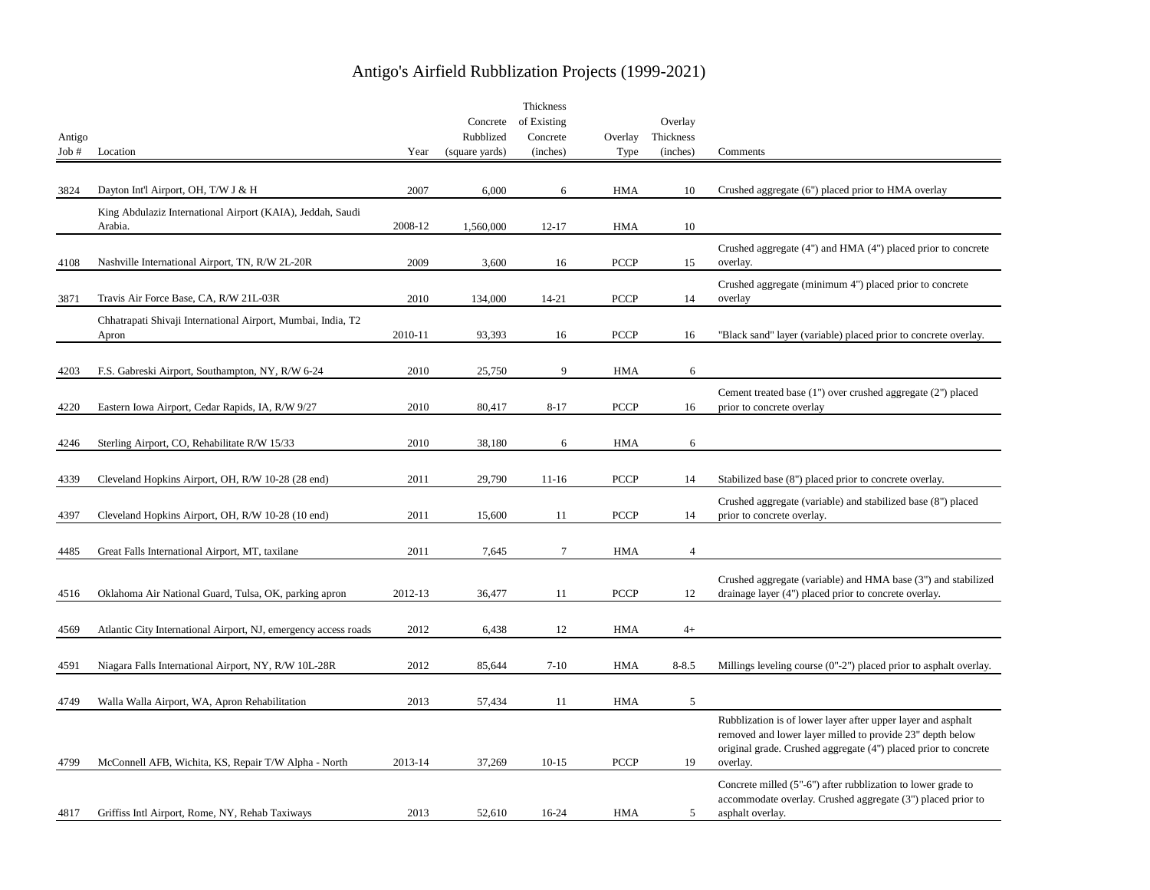|        |                                                                       |         |                | Thickness   |             |                |                                                                             |
|--------|-----------------------------------------------------------------------|---------|----------------|-------------|-------------|----------------|-----------------------------------------------------------------------------|
|        |                                                                       |         | Concrete       | of Existing |             | Overlay        |                                                                             |
| Antigo |                                                                       |         | Rubblized      | Concrete    | Overlay     | Thickness      |                                                                             |
| Job#   | Location                                                              | Year    | (square yards) | (inches)    | Type        | (inches)       | Comments                                                                    |
|        |                                                                       |         |                |             |             |                |                                                                             |
| 3824   | Dayton Int'l Airport, OH, T/W J & H                                   | 2007    | 6,000          | 6           | <b>HMA</b>  | 10             | Crushed aggregate (6") placed prior to HMA overlay                          |
|        |                                                                       |         |                |             |             |                |                                                                             |
|        | King Abdulaziz International Airport (KAIA), Jeddah, Saudi<br>Arabia. | 2008-12 | 1,560,000      | $12 - 17$   | HMA         | 10             |                                                                             |
|        |                                                                       |         |                |             |             |                |                                                                             |
|        |                                                                       |         |                |             |             |                | Crushed aggregate (4") and HMA (4") placed prior to concrete                |
| 4108   | Nashville International Airport, TN, R/W 2L-20R                       | 2009    | 3,600          | 16          | <b>PCCP</b> | 15             | overlay.                                                                    |
|        |                                                                       |         |                |             |             |                | Crushed aggregate (minimum 4") placed prior to concrete                     |
| 3871   | Travis Air Force Base, CA, R/W 21L-03R                                | 2010    | 134,000        | $14 - 21$   | <b>PCCP</b> | 14             | overlay                                                                     |
|        | Chhatrapati Shivaji International Airport, Mumbai, India, T2          |         |                |             |             |                |                                                                             |
|        | Apron                                                                 | 2010-11 | 93,393         | 16          | <b>PCCP</b> | 16             | "Black sand" layer (variable) placed prior to concrete overlay.             |
|        |                                                                       |         |                |             |             |                |                                                                             |
| 4203   | F.S. Gabreski Airport, Southampton, NY, R/W 6-24                      | 2010    | 25,750         | 9           | <b>HMA</b>  | 6              |                                                                             |
|        |                                                                       |         |                |             |             |                |                                                                             |
|        |                                                                       |         |                |             |             |                | Cement treated base (1") over crushed aggregate (2") placed                 |
| 4220   | Eastern Iowa Airport, Cedar Rapids, IA, R/W 9/27                      | 2010    | 80,417         | $8 - 17$    | <b>PCCP</b> | 16             | prior to concrete overlay                                                   |
|        |                                                                       |         |                |             |             |                |                                                                             |
| 4246   | Sterling Airport, CO, Rehabilitate R/W 15/33                          | 2010    | 38,180         | 6           | <b>HMA</b>  | 6              |                                                                             |
|        |                                                                       |         |                |             |             |                |                                                                             |
| 4339   | Cleveland Hopkins Airport, OH, R/W 10-28 (28 end)                     | 2011    | 29,790         | $11 - 16$   | <b>PCCP</b> | 14             | Stabilized base (8") placed prior to concrete overlay.                      |
|        |                                                                       |         |                |             |             |                | Crushed aggregate (variable) and stabilized base (8") placed                |
| 4397   | Cleveland Hopkins Airport, OH, R/W 10-28 (10 end)                     | 2011    | 15,600         | 11          | <b>PCCP</b> | 14             | prior to concrete overlay.                                                  |
|        |                                                                       |         |                |             |             |                |                                                                             |
| 4485   | Great Falls International Airport, MT, taxilane                       | 2011    | 7,645          | $\tau$      | <b>HMA</b>  | $\overline{4}$ |                                                                             |
|        |                                                                       |         |                |             |             |                |                                                                             |
|        |                                                                       |         |                |             |             |                | Crushed aggregate (variable) and HMA base (3") and stabilized               |
| 4516   | Oklahoma Air National Guard, Tulsa, OK, parking apron                 | 2012-13 | 36,477         | 11          | <b>PCCP</b> | 12             | drainage layer (4") placed prior to concrete overlay.                       |
|        |                                                                       |         |                |             |             |                |                                                                             |
| 4569   | Atlantic City International Airport, NJ, emergency access roads       | 2012    | 6,438          | 12          | HMA         | $4+$           |                                                                             |
|        |                                                                       |         |                |             |             |                |                                                                             |
|        |                                                                       |         |                |             |             |                |                                                                             |
| 4591   | Niagara Falls International Airport, NY, R/W 10L-28R                  | 2012    | 85,644         | $7 - 10$    | HMA         | $8 - 8.5$      | Millings leveling course $(0n-2n)$ placed prior to asphalt overlay.         |
|        |                                                                       |         |                |             |             |                |                                                                             |
| 4749   | Walla Walla Airport, WA, Apron Rehabilitation                         | 2013    | 57,434         | 11          | <b>HMA</b>  | 5              |                                                                             |
|        |                                                                       |         |                |             |             |                | Rubblization is of lower layer after upper layer and asphalt                |
|        |                                                                       |         |                |             |             |                | removed and lower layer milled to provide 23" depth below                   |
| 4799   | McConnell AFB, Wichita, KS, Repair T/W Alpha - North                  | 2013-14 | 37,269         | $10 - 15$   | <b>PCCP</b> | 19             | original grade. Crushed aggregate (4") placed prior to concrete<br>overlay. |
|        |                                                                       |         |                |             |             |                |                                                                             |
|        |                                                                       |         |                |             |             |                | Concrete milled (5"-6") after rubblization to lower grade to                |
|        |                                                                       |         |                |             |             |                | accommodate overlay. Crushed aggregate (3") placed prior to                 |
| 4817   | Griffiss Intl Airport, Rome, NY, Rehab Taxiways                       | 2013    | 52,610         | 16-24       | <b>HMA</b>  | 5              | asphalt overlay.                                                            |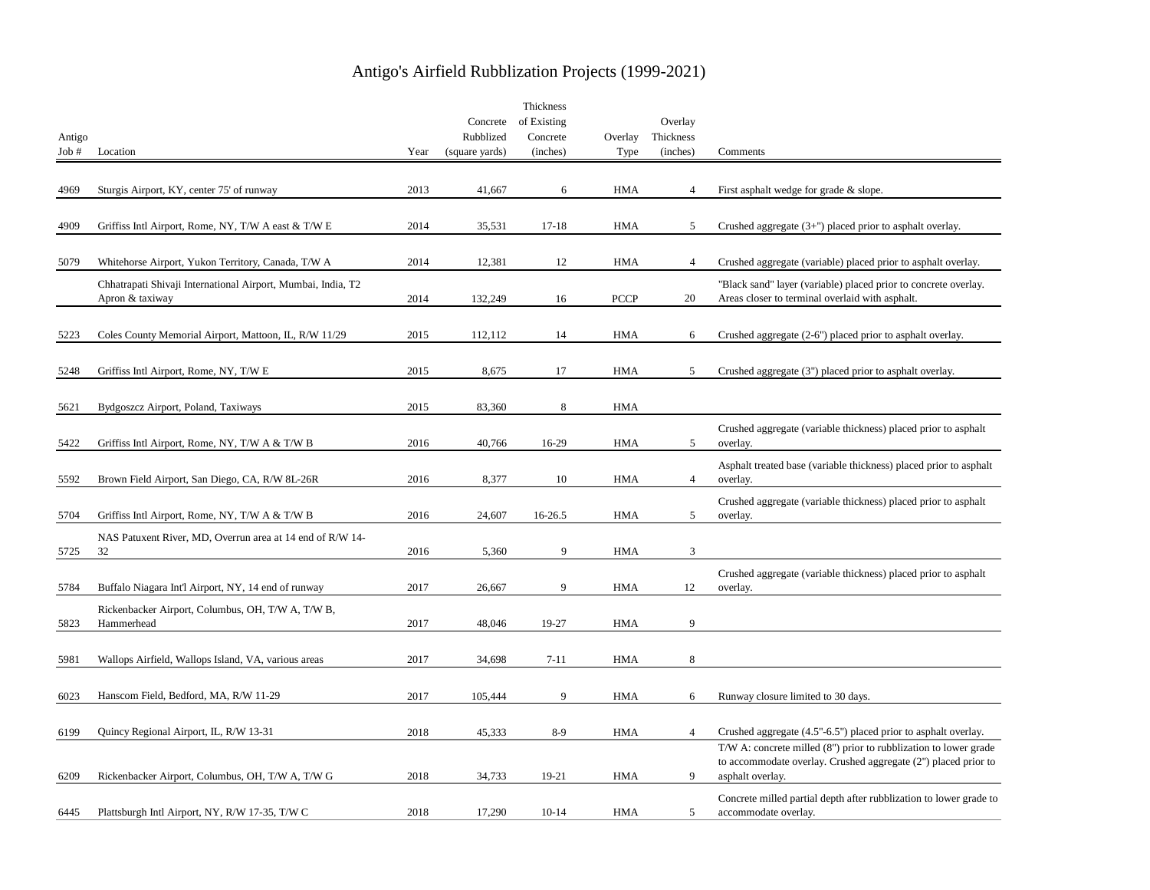|        |                                                                 |      |                | Thickness   |             |                |                                                                    |
|--------|-----------------------------------------------------------------|------|----------------|-------------|-------------|----------------|--------------------------------------------------------------------|
|        |                                                                 |      | Concrete       | of Existing |             | Overlay        |                                                                    |
| Antigo |                                                                 |      | Rubblized      | Concrete    | Overlay     | Thickness      |                                                                    |
| Job#   | Location                                                        | Year | (square yards) | (inches)    | Type        | (inches)       | Comments                                                           |
|        |                                                                 |      |                |             |             |                |                                                                    |
| 4969   | Sturgis Airport, KY, center 75' of runway                       | 2013 | 41,667         | 6           | HMA         | $\overline{4}$ | First asphalt wedge for grade & slope.                             |
|        |                                                                 |      |                |             |             |                |                                                                    |
|        |                                                                 |      |                |             |             |                |                                                                    |
| 4909   | Griffiss Intl Airport, Rome, NY, T/W A east & T/W E             | 2014 | 35,531         | $17 - 18$   | HMA         | 5              | Crushed aggregate $(3+)$ placed prior to asphalt overlay.          |
|        |                                                                 |      |                |             |             |                |                                                                    |
| 5079   | Whitehorse Airport, Yukon Territory, Canada, T/W A              | 2014 | 12,381         | 12          | <b>HMA</b>  | $\overline{4}$ | Crushed aggregate (variable) placed prior to asphalt overlay.      |
|        | Chhatrapati Shivaji International Airport, Mumbai, India, T2    |      |                |             |             |                | "Black sand" layer (variable) placed prior to concrete overlay.    |
|        | Apron & taxiway                                                 | 2014 | 132,249        | 16          | <b>PCCP</b> | 20             | Areas closer to terminal overlaid with asphalt.                    |
|        |                                                                 |      |                |             |             |                |                                                                    |
|        |                                                                 |      |                |             |             |                |                                                                    |
| 5223   | Coles County Memorial Airport, Mattoon, IL, R/W 11/29           | 2015 | 112,112        | 14          | HMA         | 6              | Crushed aggregate (2-6") placed prior to asphalt overlay.          |
|        |                                                                 |      |                |             |             |                |                                                                    |
| 5248   | Griffiss Intl Airport, Rome, NY, T/W E                          | 2015 | 8,675          | 17          | HMA         | 5              | Crushed aggregate (3") placed prior to asphalt overlay.            |
|        |                                                                 |      |                |             |             |                |                                                                    |
| 5621   | Bydgoszcz Airport, Poland, Taxiways                             | 2015 | 83,360         | 8           | HMA         |                |                                                                    |
|        |                                                                 |      |                |             |             |                |                                                                    |
|        |                                                                 |      |                |             |             |                | Crushed aggregate (variable thickness) placed prior to asphalt     |
| 5422   | Griffiss Intl Airport, Rome, NY, T/W A & T/W B                  | 2016 | 40,766         | 16-29       | HMA         | 5              | overlay.                                                           |
|        |                                                                 |      |                |             |             |                | Asphalt treated base (variable thickness) placed prior to asphalt  |
| 5592   | Brown Field Airport, San Diego, CA, R/W 8L-26R                  | 2016 | 8,377          | 10          | HMA         | $\overline{4}$ | overlay.                                                           |
|        |                                                                 |      |                |             |             |                | Crushed aggregate (variable thickness) placed prior to asphalt     |
| 5704   | Griffiss Intl Airport, Rome, NY, T/W A & T/W B                  | 2016 | 24,607         | 16-26.5     | HMA         | 5              | overlay.                                                           |
|        |                                                                 |      |                |             |             |                |                                                                    |
| 5725   | NAS Patuxent River, MD, Overrun area at 14 end of R/W 14-<br>32 | 2016 | 5,360          | 9           | HMA         | 3              |                                                                    |
|        |                                                                 |      |                |             |             |                |                                                                    |
|        |                                                                 |      |                |             |             |                | Crushed aggregate (variable thickness) placed prior to asphalt     |
| 5784   | Buffalo Niagara Int'l Airport, NY, 14 end of runway             | 2017 | 26,667         | 9           | HMA         | 12             | overlay.                                                           |
|        | Rickenbacker Airport, Columbus, OH, T/W A, T/W B,               |      |                |             |             |                |                                                                    |
| 5823   | Hammerhead                                                      | 2017 | 48,046         | 19-27       | <b>HMA</b>  | 9              |                                                                    |
|        |                                                                 |      |                |             |             |                |                                                                    |
| 5981   | Wallops Airfield, Wallops Island, VA, various areas             | 2017 | 34,698         | $7 - 11$    | <b>HMA</b>  | $\,$ 8 $\,$    |                                                                    |
|        |                                                                 |      |                |             |             |                |                                                                    |
|        |                                                                 |      |                |             |             |                |                                                                    |
| 6023   | Hanscom Field, Bedford, MA, R/W 11-29                           | 2017 | 105,444        | 9           | <b>HMA</b>  | 6              | Runway closure limited to 30 days.                                 |
|        |                                                                 |      |                |             |             |                |                                                                    |
| 6199   | Quincy Regional Airport, IL, R/W 13-31                          | 2018 | 45,333         | $8-9$       | <b>HMA</b>  | $\overline{4}$ | Crushed aggregate (4.5"-6.5") placed prior to asphalt overlay.     |
|        |                                                                 |      |                |             |             |                | T/W A: concrete milled (8") prior to rubblization to lower grade   |
|        |                                                                 |      |                |             |             |                | to accommodate overlay. Crushed aggregate (2") placed prior to     |
| 6209   | Rickenbacker Airport, Columbus, OH, T/W A, T/W G                | 2018 | 34,733         | 19-21       | <b>HMA</b>  | 9              | asphalt overlay.                                                   |
|        |                                                                 |      |                |             |             |                | Concrete milled partial depth after rubblization to lower grade to |
| 6445   | Plattsburgh Intl Airport, NY, R/W 17-35, T/W C                  | 2018 | 17,290         | $10-14$     | <b>HMA</b>  | 5              | accommodate overlay.                                               |